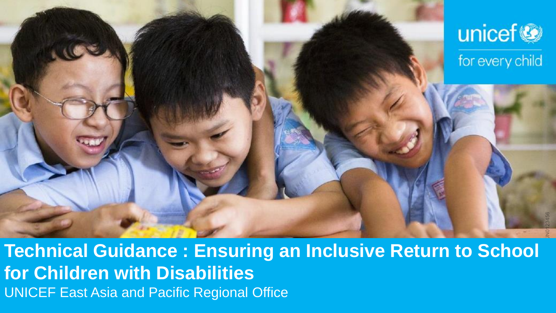

**Technical Guidance : Ensuring an Inclusive Return to School for Children with Disabilities**  UNICEF East Asia and Pacific Regional Office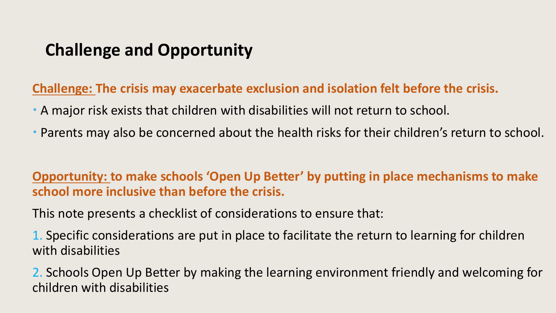# **Challenge and Opportunity**

**Challenge: The crisis may exacerbate exclusion and isolation felt before the crisis.** 

- A major risk exists that children with disabilities will not return to school.
- Parents may also be concerned about the health risks for their children's return to school.

#### **Opportunity: to make schools 'Open Up Better' by putting in place mechanisms to make school more inclusive than before the crisis.**

This note presents a checklist of considerations to ensure that:

1. Specific considerations are put in place to facilitate the return to learning for children with disabilities

2. Schools Open Up Better by making the learning environment friendly and welcoming for children with disabilities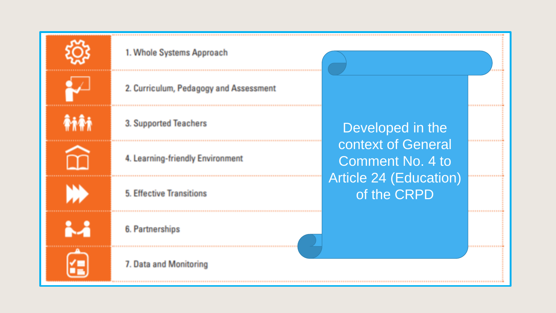

mmi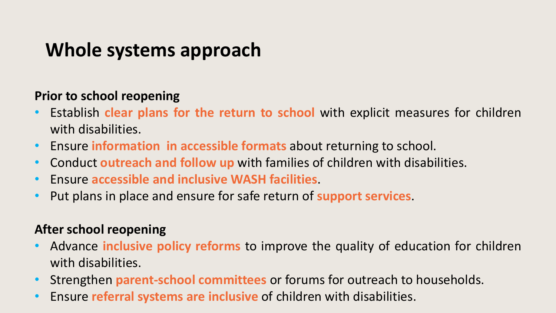# **Whole systems approach**

### **Prior to school reopening**

- Establish **clear plans for the return to school** with explicit measures for children with disabilities.
- Ensure **information in accessible formats** about returning to school.
- Conduct **outreach and follow up** with families of children with disabilities.
- Ensure **accessible and inclusive WASH facilities**.
- Put plans in place and ensure for safe return of **support services**.

### **After school reopening**

- Advance **inclusive policy reforms** to improve the quality of education for children with disabilities.
- Strengthen **parent-school committees** or forums for outreach to households.
- Ensure **referral systems are inclusive** of children with disabilities.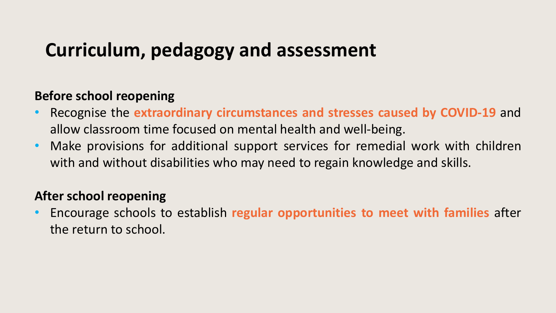# **Curriculum, pedagogy and assessment**

#### **Before school reopening**

- Recognise the **extraordinary circumstances and stresses caused by COVID-19** and allow classroom time focused on mental health and well-being.
- Make provisions for additional support services for remedial work with children with and without disabilities who may need to regain knowledge and skills.

#### **After school reopening**

• Encourage schools to establish **regular opportunities to meet with families** after the return to school.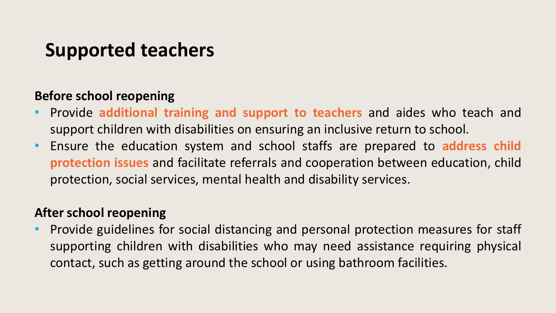# **Supported teachers**

### **Before school reopening**

- Provide **additional training and support to teachers** and aides who teach and support children with disabilities on ensuring an inclusive return to school.
- Ensure the education system and school staffs are prepared to **address child protection issues** and facilitate referrals and cooperation between education, child protection, social services, mental health and disability services.

#### **After school reopening**

• Provide guidelines for social distancing and personal protection measures for staff supporting children with disabilities who may need assistance requiring physical contact, such as getting around the school or using bathroom facilities.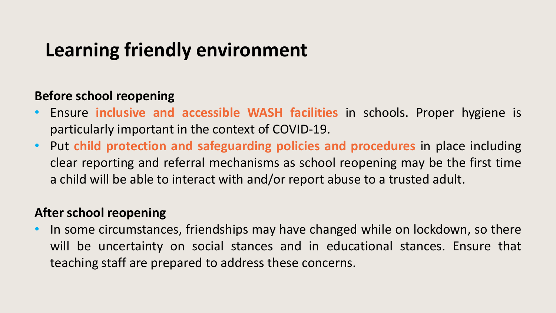# **Learning friendly environment**

### **Before school reopening**

- Ensure **inclusive and accessible WASH facilities** in schools. Proper hygiene is particularly important in the context of COVID-19.
- Put **child protection and safeguarding policies and procedures** in place including clear reporting and referral mechanisms as school reopening may be the first time a child will be able to interact with and/or report abuse to a trusted adult.

#### **After school reopening**

• In some circumstances, friendships may have changed while on lockdown, so there will be uncertainty on social stances and in educational stances. Ensure that teaching staff are prepared to address these concerns.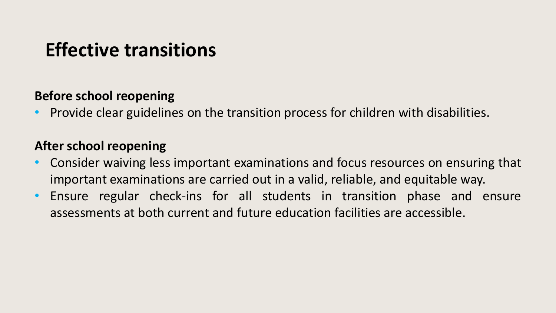# **Effective transitions**

#### **Before school reopening**

• Provide clear guidelines on the transition process for children with disabilities.

### **After school reopening**

- Consider waiving less important examinations and focus resources on ensuring that important examinations are carried out in a valid, reliable, and equitable way.
- Ensure regular check-ins for all students in transition phase and ensure assessments at both current and future education facilities are accessible.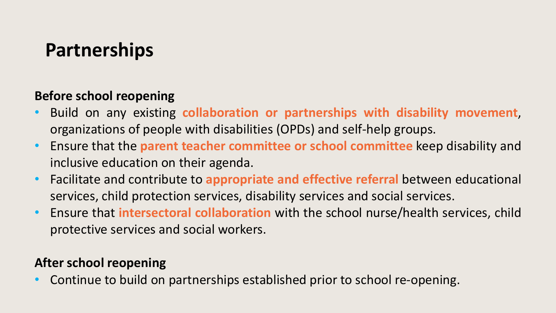# **Partnerships**

### **Before school reopening**

- Build on any existing **collaboration or partnerships with disability movement**, organizations of people with disabilities (OPDs) and self-help groups.
- Ensure that the **parent teacher committee or school committee** keep disability and inclusive education on their agenda.
- Facilitate and contribute to **appropriate and effective referral** between educational services, child protection services, disability services and social services.
- Ensure that **intersectoral collaboration** with the school nurse/health services, child protective services and social workers.

## **After school reopening**

• Continue to build on partnerships established prior to school re-opening.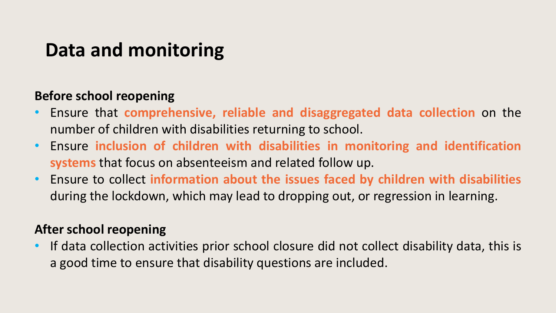# **Data and monitoring**

#### **Before school reopening**

- Ensure that **comprehensive, reliable and disaggregated data collection** on the number of children with disabilities returning to school.
- Ensure **inclusion of children with disabilities in monitoring and identification systems** that focus on absenteeism and related follow up.
- Ensure to collect **information about the issues faced by children with disabilities** during the lockdown, which may lead to dropping out, or regression in learning.

### **After school reopening**

• If data collection activities prior school closure did not collect disability data, this is a good time to ensure that disability questions are included.